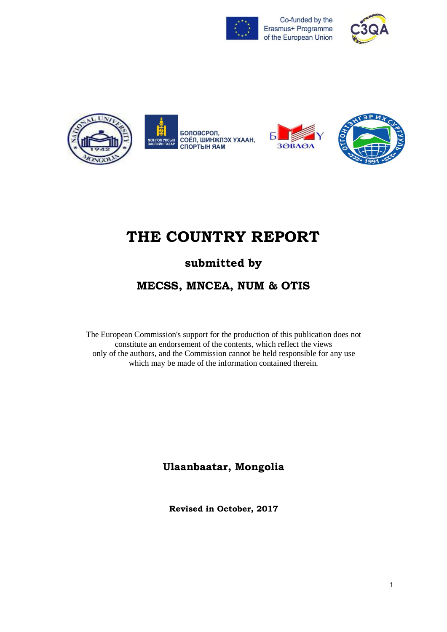





# **THE COUNTRY REPORT**

## **submitted by**

## **MECSS, MNCEA, NUM & OTIS**

The European Commission's support for the production of this publication does not constitute an endorsement of the contents, which reflect the views only of the authors, and the Commission cannot be held responsible for any use which may be made of the information contained therein.

### **Ulaanbaatar, Mongolia**

**Revised in October, 2017**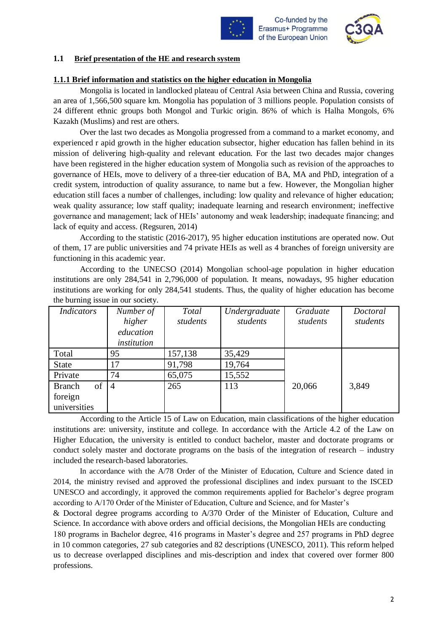



#### **1.1 Brief presentation of the HE and research system**

#### **1.1.1 Brief information and statistics on the higher education in Mongolia**

Mongolia is located in landlocked plateau of Central Asia between China and Russia, covering an area of 1,566,500 square km. Mongolia has population of 3 millions people. Population consists of 24 different ethnic groups both Mongol and Turkic origin. 86% of which is Halha Mongols, 6% Kazakh (Muslims) and rest are others.

Over the last two decades as Mongolia progressed from a command to a market economy, and experienced r apid growth in the higher education subsector, higher education has fallen behind in its mission of delivering high-quality and relevant education. For the last two decades major changes have been registered in the higher education system of Mongolia such as revision of the approaches to governance of HEIs, move to delivery of a three-tier education of BA, MA and PhD, integration of a credit system, introduction of quality assurance, to name but a few. However, the Mongolian higher education still faces a number of challenges, including: low quality and relevance of higher education; weak quality assurance; low staff quality; inadequate learning and research environment; ineffective governance and management; lack of HEIs' autonomy and weak leadership; inadequate financing; and lack of equity and access. (Regsuren, 2014)

According to the statistic (2016-2017), 95 higher education institutions are operated now. Out of them, 17 are public universities and 74 private HEIs as well as 4 branches of foreign university are functioning in this academic year.

According to the UNECSO (2014) Mongolian school-age population in higher education institutions are only 284,541 in 2,796,000 of population. It means, nowadays, 95 higher education institutions are working for only 284,541 students. Thus, the quality of higher education has become the burning issue in our society.

| <b>Indicators</b>   | Number of          | Total    | Undergraduate | Graduate | Doctoral |
|---------------------|--------------------|----------|---------------|----------|----------|
|                     | higher             | students | students      | students | students |
|                     | education          |          |               |          |          |
|                     | <i>institution</i> |          |               |          |          |
| Total               | 95                 | 157,138  | 35,429        |          |          |
| <b>State</b>        | 17                 | 91,798   | 19,764        |          |          |
| Private             | 74                 | 65,075   | 15,552        |          |          |
| of<br><b>Branch</b> | $\overline{4}$     | 265      | 113           | 20,066   | 3,849    |
| foreign             |                    |          |               |          |          |
| universities        |                    |          |               |          |          |

According to the Article 15 of Law on Education, main classifications of the higher education institutions are: university, institute and college. In accordance with the Article 4.2 of the Law on Higher Education, the university is entitled to conduct bachelor, master and doctorate programs or conduct solely master and doctorate programs on the basis of the integration of research – industry included the research-based laboratories.

In accordance with the A/78 Order of the Minister of Education, Culture and Science dated in 2014, the ministry revised and approved the professional disciplines and index pursuant to the ISCED UNESCO and accordingly, it approved the common requirements applied for Bachelor's degree program according to A/170 Order of the Minister of Education, Culture and Science, and for Master's

& Doctoral degree programs according to A/370 Order of the Minister of Education, Culture and Science. In accordance with above orders and official decisions, the Mongolian HEIs are conducting 180 programs in Bachelor degree, 416 programs in Master's degree and 257 programs in PhD degree in 10 common categories, 27 sub categories and 82 descriptions (UNESCO, 2011). This reform helped us to decrease overlapped disciplines and mis-description and index that covered over former 800 professions.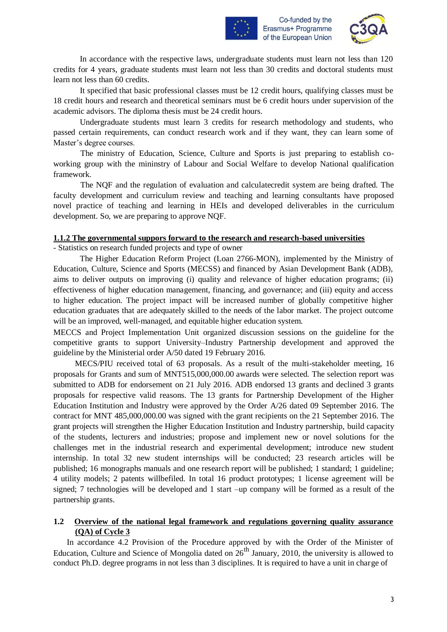



In accordance with the respective laws, undergraduate students must learn not less than 120 credits for 4 years, graduate students must learn not less than 30 credits and doctoral students must learn not less than 60 credits.

It specified that basic professional classes must be 12 credit hours, qualifying classes must be 18 credit hours and research and theoretical seminars must be 6 credit hours under supervision of the academic advisors. The diploma thesis must be 24 credit hours.

Undergraduate students must learn 3 credits for research methodology and students, who passed certain requirements, can conduct research work and if they want, they can learn some of Master's degree courses.

The ministry of Education, Science, Culture and Sports is just preparing to establish coworking group with the mininstry of Labour and Social Welfare to develop National qualification framework.

The NQF and the regulation of evaluation and calculatecredit system are being drafted. The faculty development and curriculum review and teaching and learning consultants have proposed novel practice of teaching and learning in HEIs and developed deliverables in the curriculum development. So, we are preparing to approve NQF.

#### **1.1.2 The governmental suppors forward to the research and research-based universities**

- Statistics on research funded projects and type of owner

The Higher Education Reform Project (Loan 2766-MON), implemented by the Ministry of Education, Culture, Science and Sports (MECSS) and financed by Asian Development Bank (ADB), aims to deliver outputs on improving (i) quality and relevance of higher education programs; (ii) effectiveness of higher education management, financing, and governance; and (iii) equity and access to higher education. The project impact will be increased number of globally competitive higher education graduates that are adequately skilled to the needs of the labor market. The project outcome will be an improved, well-managed, and equitable higher education system.

MECCS and Project Implementation Unit organized discussion sessions on the guideline for the competitive grants to support University–Industry Partnership development and approved the guideline by the Ministerial order A/50 dated 19 February 2016.

MECS/PIU received total of 63 proposals. As a result of the multi-stakeholder meeting, 16 proposals for Grants and sum of MNT515,000,000.00 awards were selected. The selection report was submitted to ADB for endorsement on 21 July 2016. ADB endorsed 13 grants and declined 3 grants proposals for respective valid reasons. The 13 grants for Partnership Development of the Higher Education Institution and Industry were approved by the Order A/26 dated 09 September 2016. The contract for MNT 485,000,000.00 was signed with the grant recipients on the 21 September 2016. The grant projects will strengthen the Higher Education Institution and Industry partnership, build capacity of the students, lecturers and industries; propose and implement new or novel solutions for the challenges met in the industrial research and experimental development; introduce new student internship. In total 32 new student internships will be conducted; 23 research articles will be published; 16 monographs manuals and one research report will be published; 1 standard; 1 guideline; 4 utility models; 2 patents willbefiled. In total 16 product prototypes; 1 license agreement will be signed; 7 technologies will be developed and 1 start –up company will be formed as a result of the partnership grants.

#### **1.2 Overview of the national legal framework and regulations governing quality assurance (QA) of Cycle 3**

In accordance 4.2 Provision of the Procedure approved by with the Order of the Minister of Education, Culture and Science of Mongolia dated on  $26<sup>th</sup>$  January, 2010, the university is allowed to conduct Ph.D. degree programs in not less than 3 disciplines. It is required to have a unit in charge of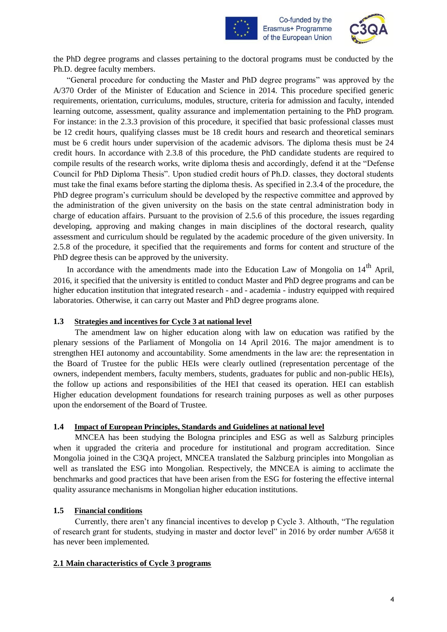



the PhD degree programs and classes pertaining to the doctoral programs must be conducted by the Ph.D. degree faculty members.

"General procedure for conducting the Master and PhD degree programs" was approved by the A/370 Order of the Minister of Education and Science in 2014. This procedure specified generic requirements, orientation, curriculums, modules, structure, criteria for admission and faculty, intended learning outcome, assessment, quality assurance and implementation pertaining to the PhD program. For instance: in the 2.3.3 provision of this procedure, it specified that basic professional classes must be 12 credit hours, qualifying classes must be 18 credit hours and research and theoretical seminars must be 6 credit hours under supervision of the academic advisors. The diploma thesis must be 24 credit hours. In accordance with 2.3.8 of this procedure, the PhD candidate students are required to compile results of the research works, write diploma thesis and accordingly, defend it at the "Defense Council for PhD Diploma Thesis". Upon studied credit hours of Ph.D. classes, they doctoral students must take the final exams before starting the diploma thesis. As specified in 2.3.4 of the procedure, the PhD degree program's curriculum should be developed by the respective committee and approved by the administration of the given university on the basis on the state central administration body in charge of education affairs. Pursuant to the provision of 2.5.6 of this procedure, the issues regarding developing, approving and making changes in main disciplines of the doctoral research, quality assessment and curriculum should be regulated by the academic procedure of the given university. In 2.5.8 of the procedure, it specified that the requirements and forms for content and structure of the PhD degree thesis can be approved by the university.

In accordance with the amendments made into the Education Law of Mongolia on 14<sup>th</sup> April, 2016, it specified that the university is entitled to conduct Master and PhD degree programs and can be higher education institution that integrated research - and - academia - industry equipped with required laboratories. Otherwise, it can carry out Master and PhD degree programs alone.

#### **1.3 Strategies and incentives for Cycle 3 at national level**

The amendment law on higher education along with law on education was ratified by the plenary sessions of the Parliament of Mongolia on 14 April 2016. The major amendment is to strengthen HEI autonomy and accountability. Some amendments in the law are: the representation in the Board of Trustee for the public HEIs were clearly outlined (representation percentage of the owners, independent members, faculty members, students, graduates for public and non-public HEIs), the follow up actions and responsibilities of the HEI that ceased its operation. HEI can establish Higher education development foundations for research training purposes as well as other purposes upon the endorsement of the Board of Trustee.

#### **1.4 Impact of European Principles, Standards and Guidelines at national level**

MNCEA has been studying the Bologna principles and ESG as well as Salzburg principles when it upgraded the criteria and procedure for institutional and program accreditation. Since Mongolia joined in the C3QA project, MNCEA translated the Salzburg principles into Mongolian as well as translated the ESG into Mongolian. Respectively, the MNCEA is aiming to acclimate the benchmarks and good practices that have been arisen from the ESG for fostering the effective internal quality assurance mechanisms in Mongolian higher education institutions.

#### **1.5 Financial conditions**

Currently, there aren't any financial incentives to develop p Cycle 3. Althouth, "The regulation of research grant for students, studying in master and doctor level" in 2016 by order number А/658 it has never been implemented.

#### **2.1 Main characteristics of Cycle 3 programs**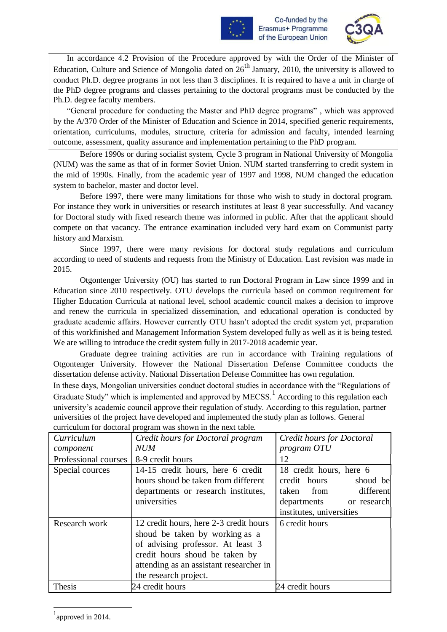



In accordance 4.2 Provision of the Procedure approved by with the Order of the Minister of Education, Culture and Science of Mongolia dated on  $26<sup>th</sup>$  January, 2010, the university is allowed to conduct Ph.D. degree programs in not less than 3 disciplines. It is required to have a unit in charge of the PhD degree programs and classes pertaining to the doctoral programs must be conducted by the Ph.D. degree faculty members.

"General procedure for conducting the Master and PhD degree programs" , which was approved by the A/370 Order of the Minister of Education and Science in 2014, specified generic requirements, orientation, curriculums, modules, structure, criteria for admission and faculty, intended learning outcome, assessment, quality assurance and implementation pertaining to the PhD program.

Before 1990s or during socialist system, Cycle 3 program in National University of Mongolia (NUM) was the same as that of in former Soviet Union. NUM started transferring to credit system in the mid of 1990s. Finally, from the academic year of 1997 and 1998, NUM changed the education system to bachelor, master and doctor level.

Before 1997, there were many limitations for those who wish to study in doctoral program. For instance they work in universities or research institutes at least 8 year successfully. And vacancy for Doctoral study with fixed research theme was informed in public. After that the applicant should compete on that vacancy. The entrance examination included very hard exam on Communist party history and Marxism.

Since 1997, there were many revisions for doctoral study regulations and curriculum according to need of students and requests from the Ministry of Education. Last revision was made in 2015.

Otgontenger University (OU) has started to run Doctoral Program in Law since 1999 and in Education since 2010 respectively. OTU develops the curricula based on common requirement for Higher Education Curricula at national level, school academic council makes a decision to improve and renew the curricula in specialized dissemination, and educational operation is conducted by graduate academic affairs. However currently OTU hasn't adopted the credit system yet, preparation of this workfinished and Management Information System developed fully as well as it is being tested. We are willing to introduce the credit system fully in 2017-2018 academic year.

Graduate degree training activities are run in accordance with Training regulations of Otgontenger University. However the National Dissertation Defense Committee conducts the dissertation defense activity. National Dissertation Defense Committee has own regulation.

In these days, Mongolian universities conduct doctoral studies in accordance with the "Regulations of Graduate Study" which is implemented and approved by MECSS.<sup>1</sup> According to this regulation each university's academic council approve their regulation of study. According to this regulation, partner universities of the project have developed and implemented the study plan as follows. General curriculum for doctoral program was shown in the next table.

|                      | modium for doctorum program was snown in the next taste. |                           |  |
|----------------------|----------------------------------------------------------|---------------------------|--|
| Curriculum           | Credit hours for Doctoral program                        | Credit hours for Doctoral |  |
| component            | <b>NUM</b>                                               | program OTU               |  |
| Professional courses | 8-9 credit hours                                         | 12                        |  |
| Special cources      | 14-15 credit hours, here 6 credit                        | 18 credit hours, here 6   |  |
|                      | hours shoud be taken from different                      | credit hours<br>shoud be  |  |
|                      | departments or research institutes,                      | different<br>taken from   |  |
|                      | universities                                             | departments or research   |  |
|                      |                                                          | institutes, universities  |  |
| Research work        | 12 credit hours, here 2-3 credit hours                   | 6 credit hours            |  |
|                      | shoud be taken by working as a                           |                           |  |
|                      | of advising professor. At least 3                        |                           |  |
|                      | credit hours shoud be taken by                           |                           |  |
|                      | attending as an assistant researcher in                  |                           |  |
|                      | the research project.                                    |                           |  |
| <b>Thesis</b>        | 24 credit hours                                          | 24 credit hours           |  |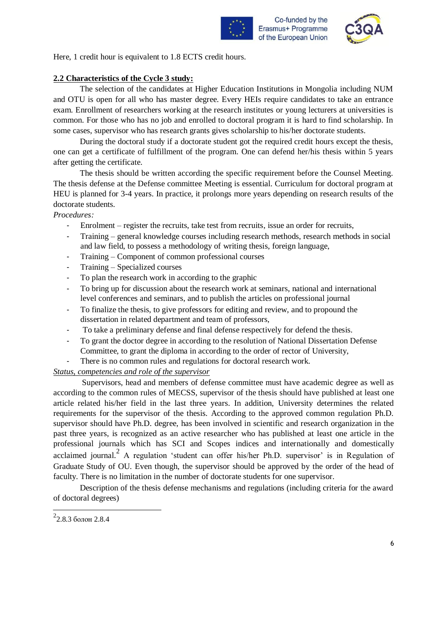



Here, 1 credit hour is equivalent to 1.8 ECTS credit hours.

#### **2.2 Characteristics of the Cycle 3 study:**

The selection of the candidates at Higher Education Institutions in Mongolia including NUM and OTU is open for all who has master degree. Every HEIs require candidates to take an entrance exam. Enrollment of researchers working at the research institutes or young lecturers at universities is common. For those who has no job and enrolled to doctoral program it is hard to find scholarship. In some cases, supervisor who has research grants gives scholarship to his/her doctorate students.

During the doctoral study if a doctorate student got the required credit hours except the thesis, one can get a certificate of fulfillment of the program. One can defend her/his thesis within 5 years after getting the certificate.

The thesis should be written according the specific requirement before the Counsel Meeting. The thesis defense at the Defense committee Meeting is essential. Curriculum for doctoral program at HEU is planned for 3-4 years. In practice, it prolongs more years depending on research results of the doctorate students.

#### *Procedures:*

- Enrolment register the recruits, take test from recruits, issue an order for recruits,
- Training general knowledge courses including research methods, research methods in social and law field, to possess a methodology of writing thesis, foreign language,
- Training Component of common professional courses
- Training Specialized courses
- To plan the research work in according to the graphic
- To bring up for discussion about the research work at seminars, national and international level conferences and seminars, and to publish the articles on professional journal
- To finalize the thesis, to give professors for editing and review, and to propound the dissertation in related department and team of professors,
- To take a preliminary defense and final defense respectively for defend the thesis.
- To grant the doctor degree in according to the resolution of National Dissertation Defense Committee, to grant the diploma in according to the order of rector of University,
- There is no common rules and regulations for doctoral research work.

#### *Status, competencies and role of the supervisor*

Supervisors, head and members of defense committee must have academic degree as well as according to the common rules of MECSS, supervisor of the thesis should have published at least one article related his/her field in the last three years. In addition, University determines the related requirements for the supervisor of the thesis. According to the approved common regulation Ph.D. supervisor should have Ph.D. degree, has been involved in scientific and research organization in the past three years, is recognized as an active researcher who has published at least one article in the professional journals which has SCI and Scopes indices and internationally and domestically acclaimed journal.<sup>2</sup> A regulation 'student can offer his/her Ph.D. supervisor' is in Regulation of Graduate Study of OU. Even though, the supervisor should be approved by the order of the head of faculty. There is no limitation in the number of doctorate students for one supervisor.

Description of the thesis defense mechanisms and regulations (including criteria for the award of doctoral degrees)

 $2$ 2.8.3 болон 2.8.4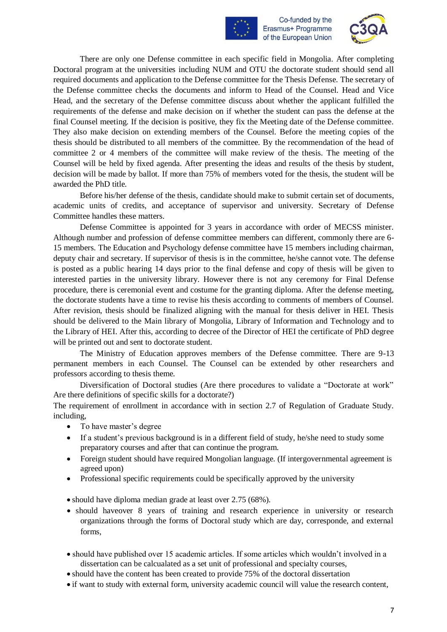



There are only one Defense committee in each specific field in Mongolia. After completing Doctoral program at the universities including NUM and OTU the doctorate student should send all required documents and application to the Defense committee for the Thesis Defense. The secretary of the Defense committee checks the documents and inform to Head of the Counsel. Head and Vice Head, and the secretary of the Defense committee discuss about whether the applicant fulfilled the requirements of the defense and make decision on if whether the student can pass the defense at the final Counsel meeting. If the decision is positive, they fix the Meeting date of the Defense committee. They also make decision on extending members of the Counsel. Before the meeting copies of the thesis should be distributed to all members of the committee. By the recommendation of the head of committee 2 or 4 members of the committee will make review of the thesis. The meeting of the Counsel will be held by fixed agenda. After presenting the ideas and results of the thesis by student, decision will be made by ballot. If more than 75% of members voted for the thesis, the student will be awarded the PhD title.

Before his/her defense of the thesis, candidate should make to submit certain set of documents, academic units of credits, and acceptance of supervisor and university. Secretary of Defense Committee handles these matters.

Defense Committee is appointed for 3 years in accordance with order of MECSS minister. Although number and profession of defense committee members can different, commonly there are 6- 15 members. The Education and Psychology defense committee have 15 members including chairman, deputy chair and secretary. If supervisor of thesis is in the committee, he/she cannot vote. The defense is posted as a public hearing 14 days prior to the final defense and copy of thesis will be given to interested parties in the university library. However there is not any ceremony for Final Defense procedure, there is ceremonial event and costume for the granting diploma. After the defense meeting, the doctorate students have a time to revise his thesis according to comments of members of Counsel. After revision, thesis should be finalized aligning with the manual for thesis deliver in HEI. Thesis should be delivered to the Main library of Mongolia, Library of Information and Technology and to the Library of HEI. After this, according to decree of the Director of HEI the certificate of PhD degree will be printed out and sent to doctorate student.

The Ministry of Education approves members of the Defense committee. There are 9-13 permanent members in each Counsel. The Counsel can be extended by other researchers and professors according to thesis theme.

Diversification of Doctoral studies (Are there procedures to validate a "Doctorate at work" Are there definitions of specific skills for a doctorate?)

The requirement of enrollment in accordance with in section 2.7 of Regulation of Graduate Study. including,

- To have master's degree
- If a student's previous background is in a different field of study, he/she need to study some preparatory courses and after that can continue the program.
- Foreign student should have required Mongolian language. (If intergovernmental agreement is agreed upon)
- Professional specific requirements could be specifically approved by the university

• should have diploma median grade at least over 2.75 (68%).

- should have over 8 years of training and research experience in university or research organizations through the forms of Doctoral study which are day, corresponde, and external forms,
- should have published over 15 academic articles. If some articles which wouldn't involved in a dissertation can be calcualated as a set unit of professional and specialty courses,
- should have the content has been created to provide 75% of the doctoral dissertation
- if want to study with external form, university academic council will value the research content,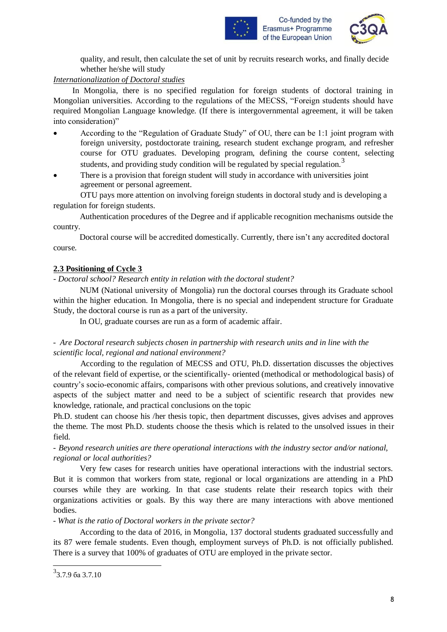



quality, and result, then calculate the set of unit by recruits research works, and finally decide whether he/she will study

#### *Internationalization of Doctoral studies*

In Mongolia, there is no specified regulation for foreign students of doctoral training in Mongolian universities. According to the regulations of the MECSS, "Foreign students should have required Mongolian Language knowledge. (If there is intergovernmental agreement, it will be taken into consideration)"

- According to the "Regulation of Graduate Study" of OU, there can be 1:1 joint program with foreign university, postdoctorate training, research student exchange program, and refresher course for OTU graduates. Developing program, defining the course content, selecting students, and providing study condition will be regulated by special regulation.<sup>3</sup>
- There is a provision that foreign student will study in accordance with universities joint agreement or personal agreement.

OTU pays more attention on involving foreign students in doctoral study and is developing a regulation for foreign students.

Authentication procedures of the Degree and if applicable recognition mechanisms outside the country.

Doctoral course will be accredited domestically. Currently, there isn't any accredited doctoral course.

#### **2.3 Positioning of Cycle 3**

*- Doctoral school? Research entity in relation with the doctoral student?*

NUM (National university of Mongolia) run the doctoral courses through its Graduate school within the higher education. In Mongolia, there is no special and independent structure for Graduate Study, the doctoral course is run as a part of the university.

In OU, graduate courses are run as a form of academic affair.

#### - *Are Doctoral research subjects chosen in partnership with research units and in line with the scientific local, regional and national environment?*

According to the regulation of MECSS and OTU, Ph.D. dissertation discusses the objectives of the relevant field of expertise, or the scientifically- oriented (methodical or methodological basis) of country's socio-economic affairs, comparisons with other previous solutions, and creatively innovative aspects of the subject matter and need to be a subject of scientific research that provides new knowledge, rationale, and practical conclusions on the topic

Ph.D. student can choose his /her thesis topic, then department discusses, gives advises and approves the theme. The most Ph.D. students choose the thesis which is related to the unsolved issues in their field.

- *Beyond research unities are there operational interactions with the industry sector and/or national, regional or local authorities?*

Very few cases for research unities have operational interactions with the industrial sectors. But it is common that workers from state, regional or local organizations are attending in a PhD courses while they are working. In that case students relate their research topics with their organizations activities or goals. By this way there are many interactions with above mentioned bodies.

- *What is the ratio of Doctoral workers in the private sector?*

According to the data of 2016, in Mongolia, 137 doctoral students graduated successfully and its 87 were female students. Even though, employment surveys of Ph.D. is not officially published. There is a survey that 100% of graduates of OTU are employed in the private sector.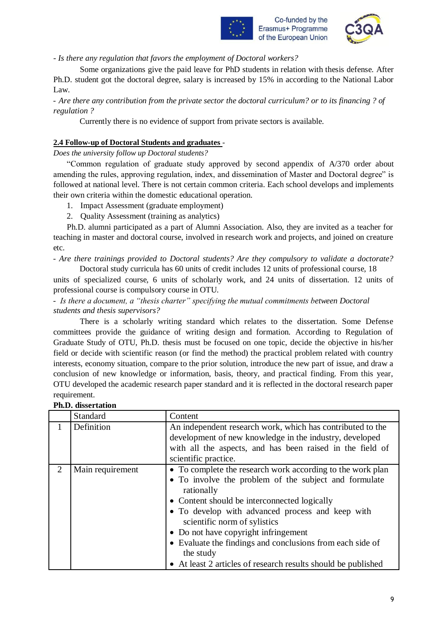

*- Is there any regulation that favors the employment of Doctoral workers?*

Some organizations give the paid leave for PhD students in relation with thesis defense. After Ph.D. student got the doctoral degree, salary is increased by 15% in according to the National Labor Law.

- *Are there any contribution from the private sector the doctoral curriculum? or to its financing ? of regulation ?*

Currently there is no evidence of support from private sectors is available.

#### **2.4 Follow-up of Doctoral Students and graduates** *-*

*Does the university follow up Doctoral students?*

"Common regulation of graduate study approved by second appendix of A/370 order about amending the rules, approving regulation, index, and dissemination of Master and Doctoral degree" is followed at national level. There is not certain common criteria. Each school develops and implements their own criteria within the domestic educational operation.

- 1. Impact Assessment (graduate employment)
- 2. Quality Assessment (training as analytics)

Ph.D. alumni participated as a part of Alumni Association. Also, they are invited as a teacher for teaching in master and doctoral course, involved in research work and projects, and joined on creature etc.

*- Are there trainings provided to Doctoral students? Are they compulsory to validate a doctorate?*  Doctoral study curricula has 60 units of credit includes 12 units of professional course, 18

units of specialized course, 6 units of scholarly work, and 24 units of dissertation. 12 units of professional course is compulsory course in OTU.

- *Is there a document, a "thesis charter" specifying the mutual commitments between Doctoral students and thesis supervisors?*

There is a scholarly writing standard which relates to the dissertation. Some Defense committees provide the guidance of writing design and formation. According to Regulation of Graduate Study of OTU, Ph.D. thesis must be focused on one topic, decide the objective in his/her field or decide with scientific reason (or find the method) the practical problem related with country interests, economy situation, compare to the prior solution, introduce the new part of issue, and draw a conclusion of new knowledge or information, basis, theory, and practical finding. From this year, OTU developed the academic research paper standard and it is reflected in the doctoral research paper requirement.

|                       | Standard         | Content                                                                                                                                                                                                                                                                                                                                                                                                                                                  |
|-----------------------|------------------|----------------------------------------------------------------------------------------------------------------------------------------------------------------------------------------------------------------------------------------------------------------------------------------------------------------------------------------------------------------------------------------------------------------------------------------------------------|
|                       | Definition       | An independent research work, which has contributed to the<br>development of new knowledge in the industry, developed<br>with all the aspects, and has been raised in the field of                                                                                                                                                                                                                                                                       |
|                       |                  | scientific practice.                                                                                                                                                                                                                                                                                                                                                                                                                                     |
| $\mathcal{D}_{\cdot}$ | Main requirement | • To complete the research work according to the work plan<br>• To involve the problem of the subject and formulate<br>rationally<br>• Content should be interconnected logically<br>• To develop with advanced process and keep with<br>scientific norm of sylistics<br>• Do not have copyright infringement<br>• Evaluate the findings and conclusions from each side of<br>the study<br>• At least 2 articles of research results should be published |

#### **Ph.D. dissertation**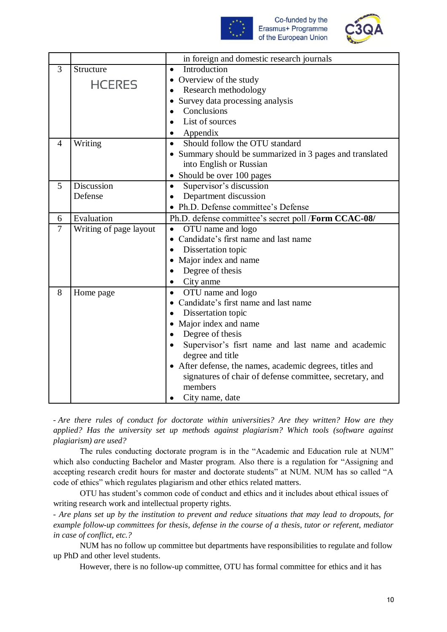



|                |                        | in foreign and domestic research journals                |  |  |
|----------------|------------------------|----------------------------------------------------------|--|--|
| 3              | Structure              | Introduction<br>$\bullet$                                |  |  |
|                | <b>HCERES</b>          | Overview of the study<br>$\bullet$                       |  |  |
|                |                        | Research methodology                                     |  |  |
|                |                        | Survey data processing analysis<br>$\bullet$             |  |  |
|                |                        | Conclusions                                              |  |  |
|                |                        | List of sources                                          |  |  |
|                |                        | Appendix                                                 |  |  |
| $\overline{4}$ | Writing                | Should follow the OTU standard<br>$\bullet$              |  |  |
|                |                        | • Summary should be summarized in 3 pages and translated |  |  |
|                |                        | into English or Russian                                  |  |  |
|                |                        | • Should be over 100 pages                               |  |  |
| $\overline{5}$ | <b>Discussion</b>      | Supervisor's discussion<br>$\bullet$                     |  |  |
|                | Defense                | Department discussion<br>$\bullet$                       |  |  |
|                |                        | • Ph.D. Defense committee's Defense                      |  |  |
| 6              | Evaluation             | Ph.D. defense committee's secret poll /Form CCAC-08/     |  |  |
| $\overline{7}$ | Writing of page layout | OTU name and logo<br>$\bullet$                           |  |  |
|                |                        | Candidate's first name and last name<br>$\bullet$        |  |  |
|                |                        | Dissertation topic<br>$\bullet$                          |  |  |
|                |                        | Major index and name                                     |  |  |
|                |                        | Degree of thesis<br>$\bullet$                            |  |  |
|                |                        | City anme                                                |  |  |
| 8              | Home page              | OTU name and logo<br>$\bullet$                           |  |  |
|                |                        | Candidate's first name and last name                     |  |  |
|                |                        | Dissertation topic<br>$\bullet$                          |  |  |
|                |                        | • Major index and name                                   |  |  |
|                |                        | Degree of thesis<br>$\bullet$                            |  |  |
|                |                        | Supervisor's fisrt name and last name and academic       |  |  |
|                |                        | degree and title                                         |  |  |
|                |                        | • After defense, the names, academic degrees, titles and |  |  |
|                |                        | signatures of chair of defense committee, secretary, and |  |  |
|                |                        | members                                                  |  |  |
|                |                        | City name, date                                          |  |  |

- *Are there rules of conduct for doctorate within universities? Are they written? How are they applied? Has the university set up methods against plagiarism? Which tools (software against plagiarism) are used?*

The rules conducting doctorate program is in the "Academic and Education rule at NUM" which also conducting Bachelor and Master program. Also there is a regulation for "Assigning and accepting research credit hours for master and doctorate students" at NUM. NUM has so called "A code of ethics" which regulates plagiarism and other ethics related matters.

OTU has student's common code of conduct and ethics and it includes about ethical issues of writing research work and intellectual property rights.

- *Are plans set up by the institution to prevent and reduce situations that may lead to dropouts, for example follow-up committees for thesis, defense in the course of a thesis, tutor or referent, mediator in case of conflict, etc.?*

NUM has no follow up committee but departments have responsibilities to regulate and follow up PhD and other level students.

However, there is no follow-up committee, OTU has formal committee for ethics and it has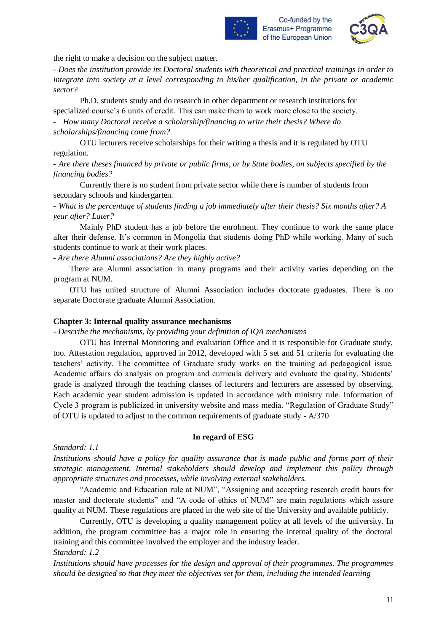



the right to make a decision on the subject matter.

- *Does the institution provide its Doctoral students with theoretical and practical trainings in order to integrate into society at a level corresponding to his/her qualification, in the private or academic sector?*

Ph.D. students study and do research in other department or research institutions for specialized course's 6 units of credit. This can make them to work more close to the society.

- *How many Doctoral receive a scholarship/financing to write their thesis? Where do scholarships/financing come from?*

OTU lecturers receive scholarships for their writing a thesis and it is regulated by OTU regulation.

- *Are there theses financed by private or public firms, or by State bodies, on subjects specified by the financing bodies?*

Currently there is no student from private sector while there is number of students from secondary schools and kindergarten.

- *What is the percentage of students finding a job immediately after their thesis? Six months after? A year after? Later?*

Mainly PhD student has a job before the enrolment. They continue to work the same place after their defense. It's common in Mongolia that students doing PhD while working. Many of such students continue to work at their work places.

- *Are there Alumni associations? Are they highly active?*

There are Alumni association in many programs and their activity varies depending on the program at NUM.

OTU has united structure of Alumni Association includes doctorate graduates. There is no separate Doctorate graduate Alumni Association*.*

#### **Chapter 3: Internal quality assurance mechanisms**

*- Describe the mechanisms, by providing your definition of IQA mechanisms*

OTU has Internal Monitoring and evaluation Office and it is responsible for Graduate study, too. Attestation regulation, approved in 2012, developed with 5 set and 51 criteria for evaluating the teachers' activity. The committee of Graduate study works on the training ad pedagogical issue. Academic affairs do analysis on program and curricula delivery and evaluate the quality. Students' grade is analyzed through the teaching classes of lecturers and lecturers are assessed by observing. Each academic year student admission is updated in accordance with ministry rule. Information of Cycle 3 program is publicized in university website and mass media. "Regulation of Graduate Study" of OTU is updated to adjust to the common requirements of graduate study - А/370

#### **In regard of ESG**

*Standard: 1.1*

*Institutions should have a policy for quality assurance that is made public and forms part of their strategic management. Internal stakeholders should develop and implement this policy through appropriate structures and processes, while involving external stakeholders.*

"Academic and Education rule at NUM", "Assigning and accepting research credit hours for master and doctorate students" and "A code of ethics of NUM" are main regulations which assure quality at NUM. These regulations are placed in the web site of the University and available publicly.

Currently, OTU is developing a quality management policy at all levels of the university. In addition, the program committee has a major role in ensuring the internal quality of the doctoral training and this committee involved the employer and the industry leader.

*Standard: 1.2*

*Institutions should have processes for the design and approval of their programmes. The programmes should be designed so that they meet the objectives set for them, including the intended learning*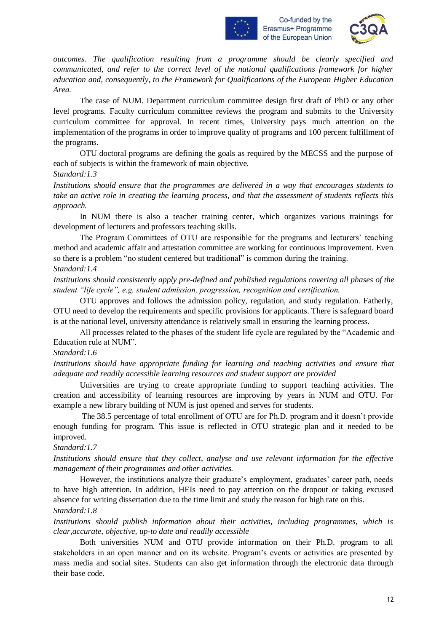



*outcomes. The qualification resulting from a programme should be clearly specified and communicated, and refer to the correct level of the national qualifications framework for higher education and, consequently, to the Framework for Qualifications of the European Higher Education Area.*

The case of NUM. Department curriculum committee design first draft of PhD or any other level programs. Faculty curriculum committee reviews the program and submits to the University curriculum committee for approval. In recent times, University pays much attention on the implementation of the programs in order to improve quality of programs and 100 percent fulfillment of the programs.

OTU doctoral programs are defining the goals as required by the MECSS and the purpose of each of subjects is within the framework of main objective.

#### *Standard:1.3*

*Institutions should ensure that the programmes are delivered in a way that encourages students to take an active role in creating the learning process, and that the assessment of students reflects this approach.*

In NUM there is also a teacher training center, which organizes various trainings for development of lecturers and professors teaching skills.

The Program Committees of OTU are responsible for the programs and lecturers' teaching method and academic affair and attestation committee are working for continuous improvement. Even so there is a problem "no student centered but traditional" is common during the training.

#### *Standard:1.4*

*Institutions should consistently apply pre-defined and published regulations covering all phases of the student "life cycle", e.g. student admission, progression, recognition and certification.*

OTU approves and follows the admission policy, regulation, and study regulation. Fatherly, OTU need to develop the requirements and specific provisions for applicants. There is safeguard board is at the national level, university attendance is relatively small in ensuring the learning process.

All processes related to the phases of the student life cycle are regulated by the "Academic and Education rule at NUM".

#### *Standard:1.6*

*Institutions should have appropriate funding for learning and teaching activities and ensure that adequate and readily accessible learning resources and student support are provided*

Universities are trying to create appropriate funding to support teaching activities. The creation and accessibility of learning resources are improving by years in NUM and OTU. For example a new library building of NUM is just opened and serves for students.

The 38.5 percentage of total enrollment of OTU are for Ph.D. program and it doesn't provide enough funding for program. This issue is reflected in OTU strategic plan and it needed to be improved.

#### *Standard:1.7*

*Institutions should ensure that they collect, analyse and use relevant information for the effective management of their programmes and other activities.*

However, the institutions analyze their graduate's employment, graduates' career path, needs to have high attention. In addition, HEIs need to pay attention on the dropout or taking excused absence for writing dissertation due to the time limit and study the reason for high rate on this.

#### *Standard:1.8*

*Institutions should publish information about their activities, including programmes, which is clear,accurate, objective, up-to date and readily accessible*

Both universities NUM and OTU provide information on their Ph.D. program to all stakeholders in an open manner and on its website. Program's events or activities are presented by mass media and social sites. Students can also get information through the electronic data through their base code.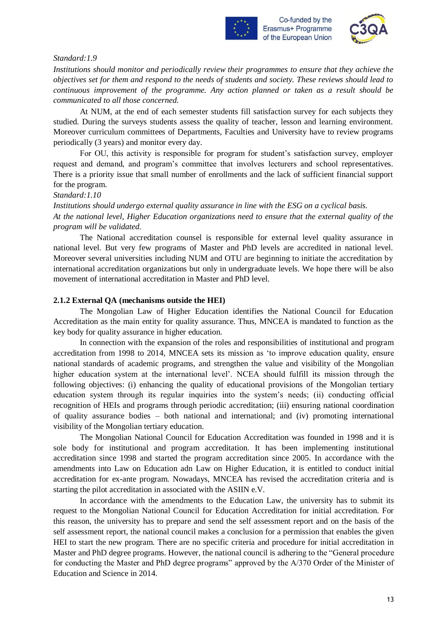



#### *Standard:1.9*

*Institutions should monitor and periodically review their programmes to ensure that they achieve the objectives set for them and respond to the needs of students and society. These reviews should lead to continuous improvement of the programme. Any action planned or taken as a result should be communicated to all those concerned.*

At NUM, at the end of each semester students fill satisfaction survey for each subjects they studied. During the surveys students assess the quality of teacher, lesson and learning environment. Moreover curriculum committees of Departments, Faculties and University have to review programs periodically (3 years) and monitor every day.

For OU, this activity is responsible for program for student's satisfaction survey, employer request and demand, and program's committee that involves lecturers and school representatives. There is a priority issue that small number of enrollments and the lack of sufficient financial support for the program.

#### *Standard:1.10*

*Institutions should undergo external quality assurance in line with the ESG on a cyclical basis. At the national level, Higher Education organizations need to ensure that the external quality of the program will be validated.*

The National accreditation counsel is responsible for external level quality assurance in national level. But very few programs of Master and PhD levels are accredited in national level. Moreover several universities including NUM and OTU are beginning to initiate the accreditation by international accreditation organizations but only in undergraduate levels. We hope there will be also movement of international accreditation in Master and PhD level.

#### **2.1.2 External QA (mechanisms outside the HEI)**

The Mongolian Law of Higher Education identifies the National Council for Education Accreditation as the main entity for quality assurance. Thus, MNCEA is mandated to function as the key body for quality assurance in higher education.

In connection with the expansion of the roles and responsibilities of institutional and program accreditation from 1998 to 2014, MNCEA sets its mission as 'to improve education quality, ensure national standards of academic programs, and strengthen the value and visibility of the Mongolian higher education system at the international level'. NCEA should fulfill its mission through the following objectives: (i) enhancing the quality of educational provisions of the Mongolian tertiary education system through its regular inquiries into the system's needs; (ii) conducting official recognition of HEIs and programs through periodic accreditation; (iii) ensuring national coordination of quality assurance bodies – both national and international; and (iv) promoting international visibility of the Mongolian tertiary education.

The Mongolian National Council for Education Accreditation was founded in 1998 and it is sole body for institutional and program accreditation. It has been implementing institutional accreditation since 1998 and started the program accreditation since 2005. In accordance with the amendments into Law on Education adn Law on Higher Education, it is entitled to conduct initial accreditation for ex-ante program. Nowadays, MNCEA has revised the accreditation criteria and is starting the pilot accreditation in associated with the ASIIN e.V.

In accordance with the amendments to the Education Law, the university has to submit its request to the Mongolian National Council for Education Accreditation for initial accreditation. For this reason, the university has to prepare and send the self assessment report and on the basis of the self assessment report, the national council makes a conclusion for a permission that enables the given HEI to start the new program. There are no specific criteria and procedure for initial accreditation in Master and PhD degree programs. However, the national council is adhering to the "General procedure for conducting the Master and PhD degree programs" approved by the A/370 Order of the Minister of Education and Science in 2014.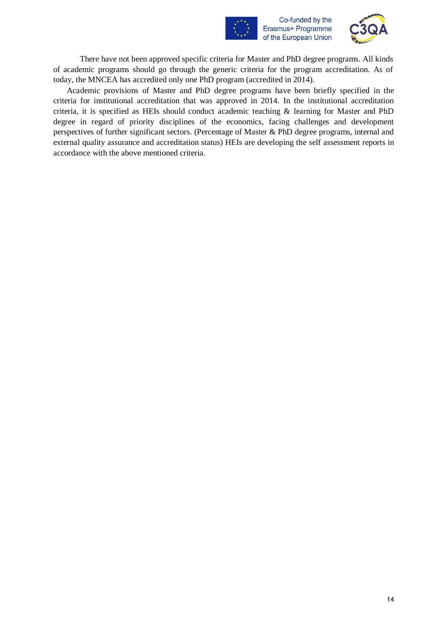



There have not been approved specific criteria for Master and PhD degree programs. All kinds of academic programs should go through the generic criteria for the program accreditation. As of today, the MNCEA has accredited only one PhD program (accredited in 2014).

Academic provisions of Master and PhD degree programs have been briefly specified in the criteria for institutional accreditation that was approved in 2014. In the institutional accreditation criteria, it is specified as HEIs should conduct academic teaching & learning for Master and PhD degree in regard of priority disciplines of the economics, facing challenges and development perspectives of further significant sectors. (Percentage of Master & PhD degree programs, internal and external quality assurance and accreditation status) HEIs are developing the self assessment reports in accordance with the above mentioned criteria.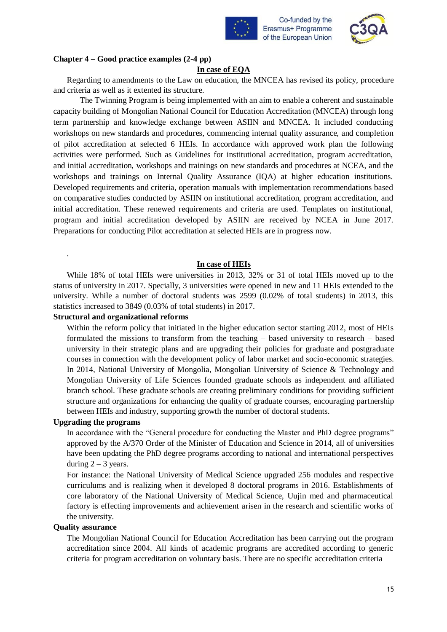



#### **Chapter 4 – Good practice examples (2-4 pp)**

#### **In case of EQA**

Regarding to amendments to the Law on education, the MNCEA has revised its policy, procedure and criteria as well as it extented its structure.

The Twinning Program is being implemented with an aim to enable a coherent and sustainable capacity building of Mongolian National Council for Education Accreditation (MNCEA) through long term partnership and knowledge exchange between ASIIN and MNCEA. It included conducting workshops on new standards and procedures, commencing internal quality assurance, and completion of pilot accreditation at selected 6 HEIs. In accordance with approved work plan the following activities were performed. Such as Guidelines for institutional accreditation, program accreditation, and initial accreditation, workshops and trainings on new standards and procedures at NCEA, and the workshops and trainings on Internal Quality Assurance (IQA) at higher education institutions. Developed requirements and criteria, operation manuals with implementation recommendations based on comparative studies conducted by ASIIN on institutional accreditation, program accreditation, and initial accreditation. These renewed requirements and criteria are used. Templates on institutional, program and initial accreditation developed by ASIIN are received by NCEA in June 2017. Preparations for conducting Pilot accreditation at selected HEIs are in progress now.

#### **In case of HEIs**

While 18% of total HEIs were universities in 2013, 32% or 31 of total HEIs moved up to the status of university in 2017. Specially, 3 universities were opened in new and 11 HEIs extended to the university. While a number of doctoral students was 2599 (0.02% of total students) in 2013, this statistics increased to 3849 (0.03% of total students) in 2017.

#### **Structural and organizational reforms**

Within the reform policy that initiated in the higher education sector starting 2012, most of HEIs formulated the missions to transform from the teaching – based university to research – based university in their strategic plans and are upgrading their policies for graduate and postgraduate courses in connection with the development policy of labor market and socio-economic strategies. In 2014, National University of Mongolia, Mongolian University of Science & Technology and Mongolian University of Life Sciences founded graduate schools as independent and affiliated branch school. These graduate schools are creating preliminary conditions for providing sufficient structure and organizations for enhancing the quality of graduate courses, encouraging partnership between HEIs and industry, supporting growth the number of doctoral students.

#### **Upgrading the programs**

.

In accordance with the "General procedure for conducting the Master and PhD degree programs" approved by the A/370 Order of the Minister of Education and Science in 2014, all of universities have been updating the PhD degree programs according to national and international perspectives during  $2 - 3$  years.

For instance: the National University of Medical Science upgraded 256 modules and respective curriculums and is realizing when it developed 8 doctoral programs in 2016. Establishments of core laboratory of the National University of Medical Science, Uujin med and pharmaceutical factory is effecting improvements and achievement arisen in the research and scientific works of the university.

#### **Quality assurance**

The Mongolian National Council for Education Accreditation has been carrying out the program accreditation since 2004. All kinds of academic programs are accredited according to generic criteria for program accreditation on voluntary basis. There are no specific accreditation criteria